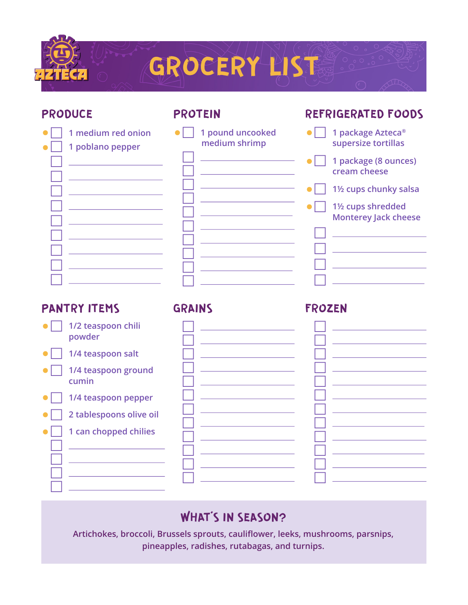

### PRODUCE

### PROTEIN

| 1 pound uncooked<br>1 medium red onion                                                                                    |  |
|---------------------------------------------------------------------------------------------------------------------------|--|
| medium shrimp<br>1 poblano pepper                                                                                         |  |
| <u> 1980 - Johann Barn, mars eta bainar eta baina eta baina eta baina eta baina eta baina eta baina eta baina e</u>       |  |
| <u> 1989 - Johann Stein, mars an t-Amerikaansk ferstjer</u>                                                               |  |
|                                                                                                                           |  |
| the control of the control of the control of the control of the control of                                                |  |
|                                                                                                                           |  |
|                                                                                                                           |  |
| <u> 1989 - Jan Sterner, amerikansk politiker (</u><br><u> 1989 - Johann Barn, mars ann an t-Amhain an t-Amhain an t-A</u> |  |
|                                                                                                                           |  |
| <u> 1980 - Johann Barbara, martxa a</u>                                                                                   |  |
| the control of the control of the control of the control of the control of                                                |  |
|                                                                                                                           |  |

**GRAINS** 

### REFRIGERATED FOODS

| 1 package Azteca <sup>®</sup><br>supersize tortillas                       |
|----------------------------------------------------------------------------|
| 1 package (8 ounces)<br>cream cheese                                       |
| 1 <sup>1</sup> / <sub>2</sub> cups chunky salsa                            |
| 1 <sup>1</sup> / <sub>2</sub> cups shredded<br><b>Monterey Jack cheese</b> |
|                                                                            |
|                                                                            |
|                                                                            |
|                                                                            |

## PANTRY ITEMS

- **1/2 teaspoon chili powder**
- **1/4 teaspoon salt**
- **1/4 teaspoon ground cumin**
- **1/4 teaspoon pepper**
- **2** tablespoons olive oil
	- **1 can chopped chilies**

  $\Box$  .  $\Box$  .  $\Box$  .

| $\mathbf{I}$            |  |
|-------------------------|--|
| $\lrcorner$ $\lrcorner$ |  |
| $\Box$                  |  |
| $\Box$                  |  |
| $\mathbf{I}$            |  |
| - 1                     |  |
| $\Box$                  |  |
| $\Box$                  |  |
| $\Box$                  |  |
| - 1                     |  |
|                         |  |

## FROZEN

# WHAT'S IN SEASON?

**Artichokes, broccoli, Brussels sprouts, caulifower, leeks, mushrooms, parsnips, pineapples, radishes, rutabagas, and turnips.**